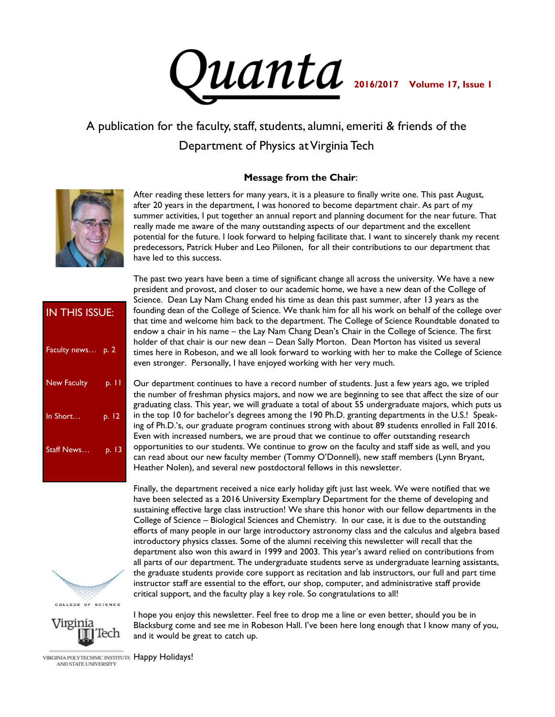

# A publication for the faculty, staff, students, alumni, emeriti & friends of the Department of Physics at Virginia Tech

#### **Message from the Chair**:



After reading these letters for many years, it is a pleasure to finally write one. This past August, after 20 years in the department, I was honored to become department chair. As part of my summer activities, I put together an annual report and planning document for the near future. That really made me aware of the many outstanding aspects of our department and the excellent potential for the future. I look forward to helping facilitate that. I want to sincerely thank my recent predecessors, Patrick Huber and Leo Piilonen, for all their contributions to our department that have led to this success.

| IN THIS ISSUE:    |       |
|-------------------|-------|
| Faculty news p. 2 |       |
| New Faculty       | p. 11 |
| In Short          | p. 12 |
| Staff News        | p. 13 |
|                   |       |

COLLEGE OF SCIENCE



I hope you enjoy this newsletter. Feel free to drop me a line or even better, should you be in Blacksburg come and see me in Robeson Hall. I've been here long enough that I know many of you, and it would be great to catch up.

VIRGINIA POLYTECHNIC INSTITUTE Happy Holidays! AND STATE UNIVERSITY

The past two years have been a time of significant change all across the university. We have a new president and provost, and closer to our academic home, we have a new dean of the College of Science. Dean Lay Nam Chang ended his time as dean this past summer, after 13 years as the founding dean of the College of Science. We thank him for all his work on behalf of the college over that time and welcome him back to the department. The College of Science Roundtable donated to endow a chair in his name – the Lay Nam Chang Dean's Chair in the College of Science. The first holder of that chair is our new dean – Dean Sally Morton. Dean Morton has visited us several times here in Robeson, and we all look forward to working with her to make the College of Science even stronger. Personally, I have enjoyed working with her very much.

Our department continues to have a record number of students. Just a few years ago, we tripled the number of freshman physics majors, and now we are beginning to see that affect the size of our graduating class. This year, we will graduate a total of about 55 undergraduate majors, which puts us in the top 10 for bachelor's degrees among the 190 Ph.D. granting departments in the U.S.! Speaking of Ph.D.'s, our graduate program continues strong with about 89 students enrolled in Fall 2016. Even with increased numbers, we are proud that we continue to offer outstanding research opportunities to our students. We continue to grow on the faculty and staff side as well, and you can read about our new faculty member (Tommy O'Donnell), new staff members (Lynn Bryant, Heather Nolen), and several new postdoctoral fellows in this newsletter.

Finally, the department received a nice early holiday gift just last week. We were notified that we

have been selected as a 2016 University Exemplary Department for the theme of developing and sustaining effective large class instruction! We share this honor with our fellow departments in the College of Science – Biological Sciences and Chemistry. In our case, it is due to the outstanding efforts of many people in our large introductory astronomy class and the calculus and algebra based introductory physics classes. Some of the alumni receiving this newsletter will recall that the department also won this award in 1999 and 2003. This year's award relied on contributions from all parts of our department. The undergraduate students serve as undergraduate learning assistants, the graduate students provide core support as recitation and lab instructors, our full and part time instructor staff are essential to the effort, our shop, computer, and administrative staff provide critical support, and the faculty play a key role. So congratulations to all!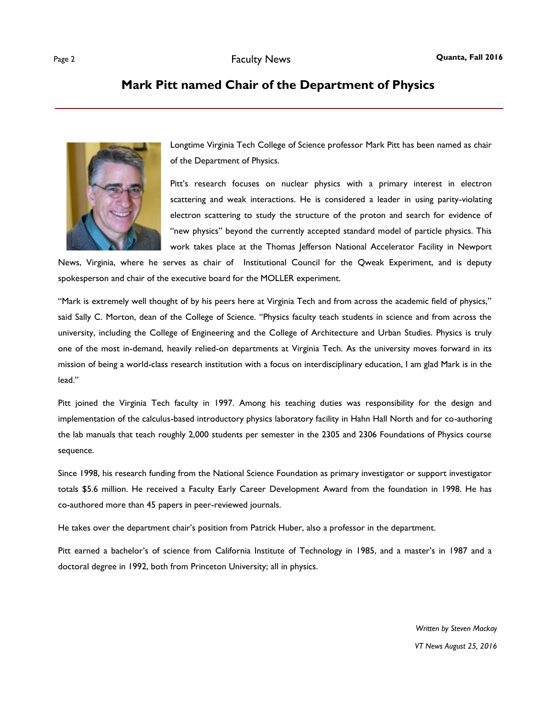#### **Mark Pitt named Chair of the Department of Physics**



Longtime Virginia Tech College of Science professor Mark Pitt has been named as chair of the Department of Physics.

Pitt's research focuses on nuclear physics with a primary interest in electron scattering and weak interactions. He is considered a leader in using parity-violating electron scattering to study the structure of the proton and search for evidence of "new physics" beyond the currently accepted standard model of particle physics. This work takes place at the Thomas Jefferson National Accelerator Facility in Newport

News, Virginia, where he serves as chair of Institutional Council for the Qweak Experiment, and is deputy spokesperson and chair of the executive board for the MOLLER experiment.

"Mark is extremely well thought of by his peers here at Virginia Tech and from across the academic field of physics," said Sally C. Morton, dean of the College of Science. "Physics faculty teach students in science and from across the university, including the College of Engineering and the College of Architecture and Urban Studies. Physics is truly one of the most in-demand, heavily relied-on departments at Virginia Tech. As the university moves forward in its mission of being a world-class research institution with a focus on interdisciplinary education, I am glad Mark is in the lead."

Pitt joined the Virginia Tech faculty in 1997. Among his teaching duties was responsibility for the design and implementation of the calculus-based introductory physics laboratory facility in Hahn Hall North and for co-authoring the lab manuals that teach roughly 2,000 students per semester in the 2305 and 2306 Foundations of Physics course sequence.

Since 1998, his research funding from the National Science Foundation as primary investigator or support investigator totals \$5.6 million. He received a Faculty Early Career Development Award from the foundation in 1998. He has co-authored more than 45 papers in peer-reviewed journals.

He takes over the department chair's position from Patrick Huber, also a professor in the department.

Pitt earned a bachelor's of science from California Institute of Technology in 1985, and a master's in 1987 and a doctoral degree in 1992, both from Princeton University; all in physics.

> *Written by Steven Mackay VT News August 25, 2016*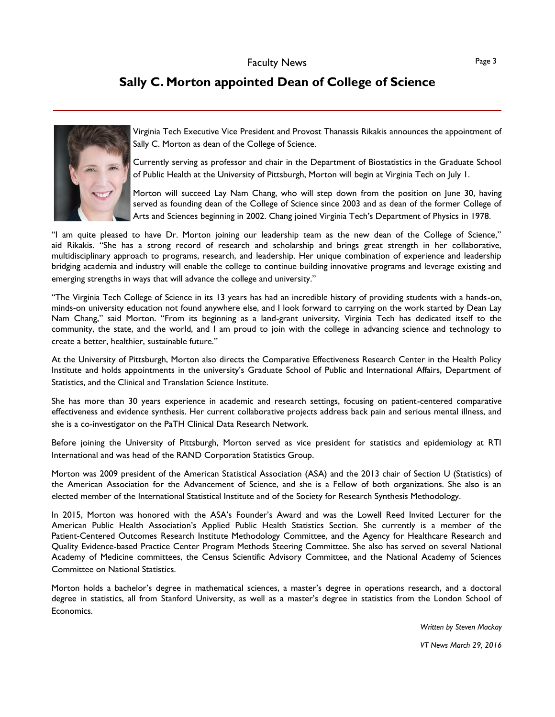### **Sally C. Morton appointed Dean of College of Science**



Virginia Tech Executive Vice President and Provost Thanassis Rikakis announces the appointment of Sally C. Morton as dean of the College of Science.

Currently serving as professor and chair in the Department of Biostatistics in the Graduate School of Public Health at the University of Pittsburgh, Morton will begin at Virginia Tech on July 1.

Morton will succeed Lay Nam Chang, who will step down from the position on June 30, having served as founding dean of the College of Science since 2003 and as dean of the former College of Arts and Sciences beginning in 2002. Chang joined Virginia Tech's Department of Physics in 1978.

"I am quite pleased to have Dr. Morton joining our leadership team as the new dean of the College of Science," aid Rikakis. "She has a strong record of research and scholarship and brings great strength in her collaborative, multidisciplinary approach to programs, research, and leadership. Her unique combination of experience and leadership bridging academia and industry will enable the college to continue building innovative programs and leverage existing and emerging strengths in ways that will advance the college and university."

"The Virginia Tech College of Science in its 13 years has had an incredible history of providing students with a hands-on, minds-on university education not found anywhere else, and I look forward to carrying on the work started by Dean Lay Nam Chang," said Morton. "From its beginning as a land-grant university, Virginia Tech has dedicated itself to the community, the state, and the world, and I am proud to join with the college in advancing science and technology to create a better, healthier, sustainable future."

At the University of Pittsburgh, Morton also directs the Comparative Effectiveness Research Center in the Health Policy Institute and holds appointments in the university's Graduate School of Public and International Affairs, Department of Statistics, and the Clinical and Translation Science Institute.

She has more than 30 years experience in academic and research settings, focusing on patient-centered comparative effectiveness and evidence synthesis. Her current collaborative projects address back pain and serious mental illness, and she is a co-investigator on the PaTH Clinical Data Research Network.

Before joining the University of Pittsburgh, Morton served as vice president for statistics and epidemiology at RTI International and was head of the RAND Corporation Statistics Group.

Morton was 2009 president of the American Statistical Association (ASA) and the 2013 chair of Section U (Statistics) of the American Association for the Advancement of Science, and she is a Fellow of both organizations. She also is an elected member of the International Statistical Institute and of the Society for Research Synthesis Methodology.

In 2015, Morton was honored with the ASA's Founder's Award and was the Lowell Reed Invited Lecturer for the American Public Health Association's Applied Public Health Statistics Section. She currently is a member of the Patient-Centered Outcomes Research Institute Methodology Committee, and the Agency for Healthcare Research and Quality Evidence-based Practice Center Program Methods Steering Committee. She also has served on several National Academy of Medicine committees, the Census Scientific Advisory Committee, and the National Academy of Sciences Committee on National Statistics.

Morton holds a bachelor's degree in mathematical sciences, a master's degree in operations research, and a doctoral degree in statistics, all from Stanford University, as well as a master's degree in statistics from the London School of Economics.

> *Written by Steven Mackay VT News March 29, 2016*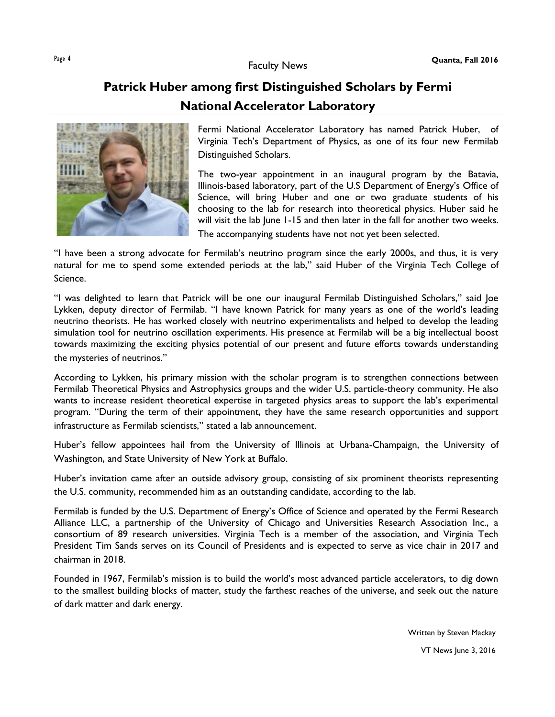# **Patrick Huber among first Distinguished Scholars by Fermi National Accelerator Laboratory**



Fermi National Accelerator Laboratory has named Patrick Huber, of Virginia Tech's Department of Physics, as one of its four new Fermilab Distinguished Scholars.

The two-year appointment in an inaugural program by the Batavia, Illinois-based laboratory, part of the U.S Department of Energy's Office of Science, will bring Huber and one or two graduate students of his choosing to the lab for research into theoretical physics. Huber said he will visit the lab lune 1-15 and then later in the fall for another two weeks.

The accompanying students have not not yet been selected.

"I have been a strong advocate for Fermilab's neutrino program since the early 2000s, and thus, it is very natural for me to spend some extended periods at the lab," said Huber of the Virginia Tech College of Science.

"I was delighted to learn that Patrick will be one our inaugural Fermilab Distinguished Scholars," said Joe Lykken, deputy director of Fermilab. "I have known Patrick for many years as one of the world's leading neutrino theorists. He has worked closely with neutrino experimentalists and helped to develop the leading simulation tool for neutrino oscillation experiments. His presence at Fermilab will be a big intellectual boost towards maximizing the exciting physics potential of our present and future efforts towards understanding the mysteries of neutrinos."

According to Lykken, his primary mission with the scholar program is to strengthen connections between Fermilab Theoretical Physics and Astrophysics groups and the wider U.S. particle-theory community. He also wants to increase resident theoretical expertise in targeted physics areas to support the lab's experimental program. "During the term of their appointment, they have the same research opportunities and support infrastructure as Fermilab scientists," stated a lab announcement.

Huber's fellow appointees hail from the University of Illinois at Urbana-Champaign, the University of Washington, and State University of New York at Buffalo.

Huber's invitation came after an outside advisory group, consisting of six prominent theorists representing the U.S. community, recommended him as an outstanding candidate, according to the lab.

Fermilab is funded by the U.S. Department of Energy's Office of Science and operated by the Fermi Research Alliance LLC, a partnership of the University of Chicago and Universities Research Association Inc., a consortium of 89 research universities. Virginia Tech is a member of the association, and Virginia Tech President Tim Sands serves on its Council of Presidents and is expected to serve as vice chair in 2017 and chairman in 2018.

Founded in 1967, Fermilab's mission is to build the world's most advanced particle accelerators, to dig down to the smallest building blocks of matter, study the farthest reaches of the universe, and seek out the nature of dark matter and dark energy.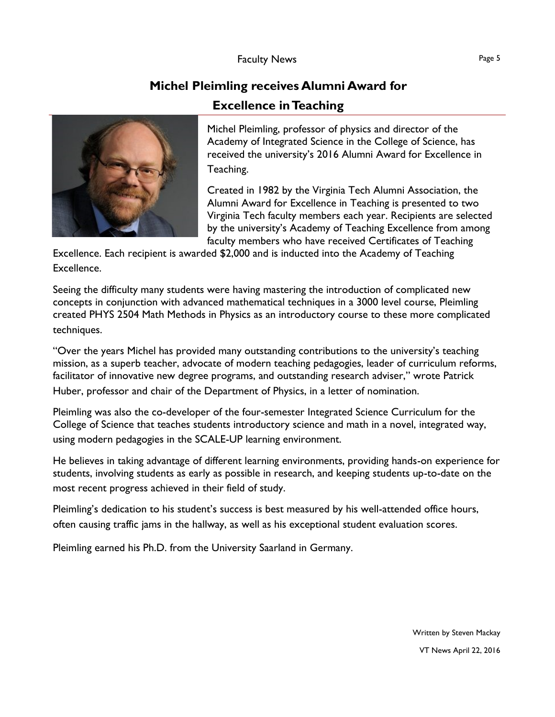## **Michel Pleimling receives Alumni Award for**

### **Excellence in Teaching**



Michel Pleimling, professor of physics and director of the Academy of Integrated Science in the College of Science, has received the university's 2016 Alumni Award for Excellence in Teaching.

Created in 1982 by the Virginia Tech Alumni Association, the Alumni Award for Excellence in Teaching is presented to two Virginia Tech faculty members each year. Recipients are selected by the university's Academy of Teaching Excellence from among faculty members who have received Certificates of Teaching

Excellence. Each recipient is awarded \$2,000 and is inducted into the Academy of Teaching Excellence.

Seeing the difficulty many students were having mastering the introduction of complicated new concepts in conjunction with advanced mathematical techniques in a 3000 level course, Pleimling created PHYS 2504 Math Methods in Physics as an introductory course to these more complicated techniques.

"Over the years Michel has provided many outstanding contributions to the university's teaching mission, as a superb teacher, advocate of modern teaching pedagogies, leader of curriculum reforms, facilitator of innovative new degree programs, and outstanding research adviser," wrote Patrick Huber, professor and chair of the Department of Physics, in a letter of nomination.

Pleimling was also the co-developer of the four-semester Integrated Science Curriculum for the College of Science that teaches students introductory science and math in a novel, integrated way, using modern pedagogies in the SCALE-UP learning environment.

He believes in taking advantage of different learning environments, providing hands-on experience for students, involving students as early as possible in research, and keeping students up-to-date on the most recent progress achieved in their field of study.

Pleimling's dedication to his student's success is best measured by his well-attended office hours, often causing traffic jams in the hallway, as well as his exceptional student evaluation scores.

Pleimling earned his Ph.D. from the University Saarland in Germany.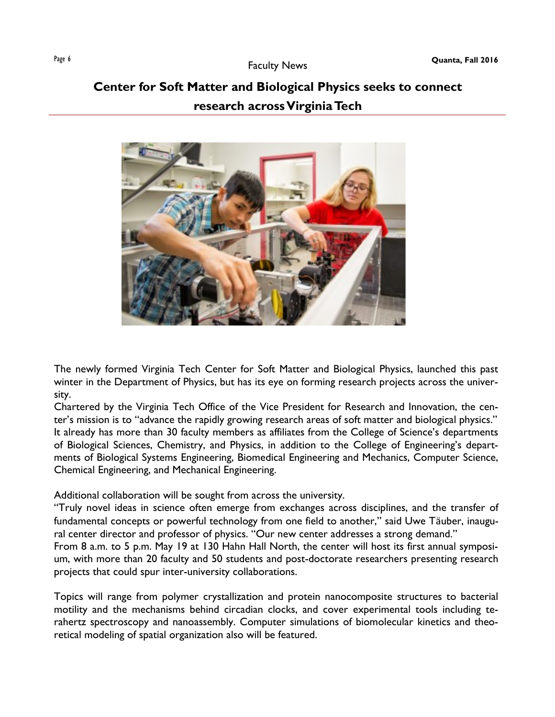# **Center for Soft Matter and Biological Physics seeks to connect research across Virginia Tech**



The newly formed Virginia Tech Center for Soft Matter and Biological Physics, launched this past winter in the Department of Physics, but has its eye on forming research projects across the university.

Chartered by the Virginia Tech Office of the Vice President for Research and Innovation, the center's mission is to "advance the rapidly growing research areas of soft matter and biological physics." It already has more than 30 faculty members as affiliates from the College of Science's departments of Biological Sciences, Chemistry, and Physics, in addition to the College of Engineering's departments of Biological Systems Engineering, Biomedical Engineering and Mechanics, Computer Science, Chemical Engineering, and Mechanical Engineering.

Additional collaboration will be sought from across the university.

"Truly novel ideas in science often emerge from exchanges across disciplines, and the transfer of fundamental concepts or powerful technology from one field to another," said Uwe Täuber, inaugural center director and professor of physics. "Our new center addresses a strong demand."

From 8 a.m. to 5 p.m. May 19 at 130 Hahn Hall North, the center will host its first annual symposium, with more than 20 faculty and 50 students and post-doctorate researchers presenting research projects that could spur inter-university collaborations.

Topics will range from polymer crystallization and protein nanocomposite structures to bacterial motility and the mechanisms behind circadian clocks, and cover experimental tools including terahertz spectroscopy and nanoassembly. Computer simulations of biomolecular kinetics and theoretical modeling of spatial organization also will be featured.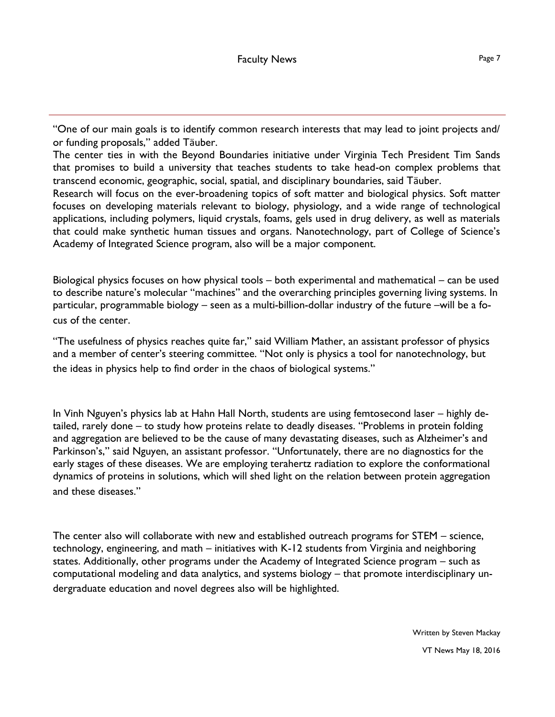"One of our main goals is to identify common research interests that may lead to joint projects and/ or funding proposals," added Tӓuber.

The center ties in with the Beyond Boundaries initiative under Virginia Tech President Tim Sands that promises to build a university that teaches students to take head-on complex problems that transcend economic, geographic, social, spatial, and disciplinary boundaries, said Täuber.

Research will focus on the ever-broadening topics of soft matter and biological physics. Soft matter focuses on developing materials relevant to biology, physiology, and a wide range of technological applications, including polymers, liquid crystals, foams, gels used in drug delivery, as well as materials that could make synthetic human tissues and organs. Nanotechnology, part of College of Science's Academy of Integrated Science program, also will be a major component.

Biological physics focuses on how physical tools – both experimental and mathematical – can be used to describe nature's molecular "machines" and the overarching principles governing living systems. In particular, programmable biology – seen as a multi-billion-dollar industry of the future –will be a focus of the center.

"The usefulness of physics reaches quite far," said William Mather, an assistant professor of physics and a member of center's steering committee. "Not only is physics a tool for nanotechnology, but the ideas in physics help to find order in the chaos of biological systems."

In Vinh Nguyen's physics lab at Hahn Hall North, students are using femtosecond laser – highly detailed, rarely done – to study how proteins relate to deadly diseases. "Problems in protein folding and aggregation are believed to be the cause of many devastating diseases, such as Alzheimer's and Parkinson's," said Nguyen, an assistant professor. "Unfortunately, there are no diagnostics for the early stages of these diseases. We are employing terahertz radiation to explore the conformational dynamics of proteins in solutions, which will shed light on the relation between protein aggregation and these diseases."

The center also will collaborate with new and established outreach programs for STEM – science, technology, engineering, and math – initiatives with K-12 students from Virginia and neighboring states. Additionally, other programs under the Academy of Integrated Science program – such as computational modeling and data analytics, and systems biology – that promote interdisciplinary undergraduate education and novel degrees also will be highlighted.

> Written by Steven Mackay VT News May 18, 2016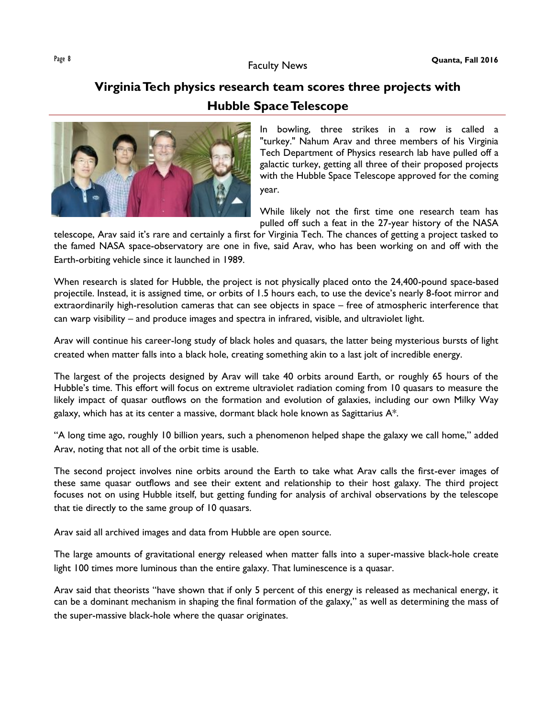# **Virginia Tech physics research team scores three projects with Hubble Space Telescope**



In bowling, three strikes in a row is called a "turkey." Nahum Arav and three members of his Virginia Tech Department of Physics research lab have pulled off a galactic turkey, getting all three of their proposed projects with the Hubble Space Telescope approved for the coming year.

While likely not the first time one research team has pulled off such a feat in the 27-year history of the NASA

telescope, Arav said it's rare and certainly a first for Virginia Tech. The chances of getting a project tasked to the famed NASA space-observatory are one in five, said Arav, who has been working on and off with the Earth-orbiting vehicle since it launched in 1989.

When research is slated for Hubble, the project is not physically placed onto the 24,400-pound space-based projectile. Instead, it is assigned time, or orbits of 1.5 hours each, to use the device's nearly 8-foot mirror and extraordinarily high-resolution cameras that can see objects in space – free of atmospheric interference that can warp visibility – and produce images and spectra in infrared, visible, and ultraviolet light.

Arav will continue his career-long study of black holes and quasars, the latter being mysterious bursts of light created when matter falls into a black hole, creating something akin to a last jolt of incredible energy.

The largest of the projects designed by Arav will take 40 orbits around Earth, or roughly 65 hours of the Hubble's time. This effort will focus on extreme ultraviolet radiation coming from 10 quasars to measure the likely impact of quasar outflows on the formation and evolution of galaxies, including our own Milky Way galaxy, which has at its center a massive, dormant black hole known as Sagittarius A\*.

"A long time ago, roughly 10 billion years, such a phenomenon helped shape the galaxy we call home," added Arav, noting that not all of the orbit time is usable.

The second project involves nine orbits around the Earth to take what Arav calls the first-ever images of these same quasar outflows and see their extent and relationship to their host galaxy. The third project focuses not on using Hubble itself, but getting funding for analysis of archival observations by the telescope that tie directly to the same group of 10 quasars.

Arav said all archived images and data from Hubble are open source.

The large amounts of gravitational energy released when matter falls into a super-massive black-hole create light 100 times more luminous than the entire galaxy. That luminescence is a quasar.

Arav said that theorists "have shown that if only 5 percent of this energy is released as mechanical energy, it can be a dominant mechanism in shaping the final formation of the galaxy," as well as determining the mass of the super-massive black-hole where the quasar originates.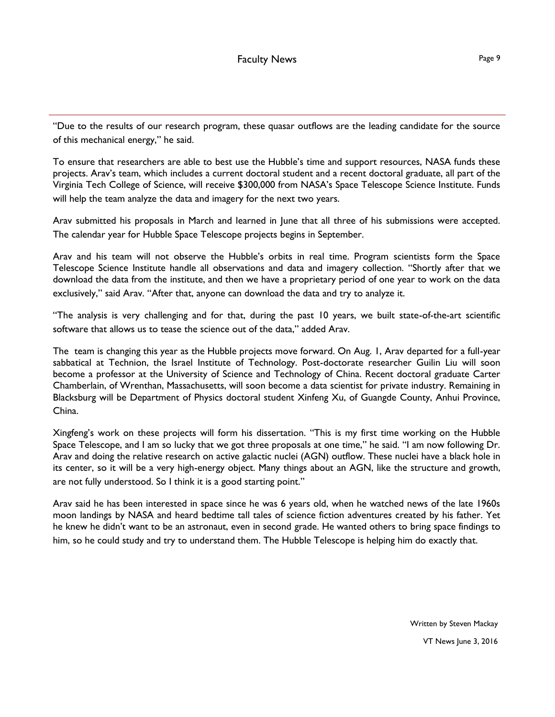"Due to the results of our research program, these quasar outflows are the leading candidate for the source of this mechanical energy," he said.

To ensure that researchers are able to best use the Hubble's time and support resources, NASA funds these projects. Arav's team, which includes a current doctoral student and a recent doctoral graduate, all part of the Virginia Tech College of Science, will receive \$300,000 from NASA's Space Telescope Science Institute. Funds will help the team analyze the data and imagery for the next two years.

Arav submitted his proposals in March and learned in June that all three of his submissions were accepted. The calendar year for Hubble Space Telescope projects begins in September.

Arav and his team will not observe the Hubble's orbits in real time. Program scientists form the Space Telescope Science Institute handle all observations and data and imagery collection. "Shortly after that we download the data from the institute, and then we have a proprietary period of one year to work on the data exclusively," said Arav. "After that, anyone can download the data and try to analyze it.

"The analysis is very challenging and for that, during the past 10 years, we built state-of-the-art scientific software that allows us to tease the science out of the data," added Arav.

The team is changing this year as the Hubble projects move forward. On Aug. 1, Arav departed for a full-year sabbatical at Technion, the Israel Institute of Technology. Post-doctorate researcher Guilin Liu will soon become a professor at the University of Science and Technology of China. Recent doctoral graduate Carter Chamberlain, of Wrenthan, Massachusetts, will soon become a data scientist for private industry. Remaining in Blacksburg will be Department of Physics doctoral student Xinfeng Xu, of Guangde County, Anhui Province, China.

Xingfeng's work on these projects will form his dissertation. "This is my first time working on the Hubble Space Telescope, and I am so lucky that we got three proposals at one time," he said. "I am now following Dr. Arav and doing the relative research on active galactic nuclei (AGN) outflow. These nuclei have a black hole in its center, so it will be a very high-energy object. Many things about an AGN, like the structure and growth, are not fully understood. So I think it is a good starting point."

Arav said he has been interested in space since he was 6 years old, when he watched news of the late 1960s moon landings by NASA and heard bedtime tall tales of science fiction adventures created by his father. Yet he knew he didn't want to be an astronaut, even in second grade. He wanted others to bring space findings to him, so he could study and try to understand them. The Hubble Telescope is helping him do exactly that.

> Written by Steven Mackay VT News June 3, 2016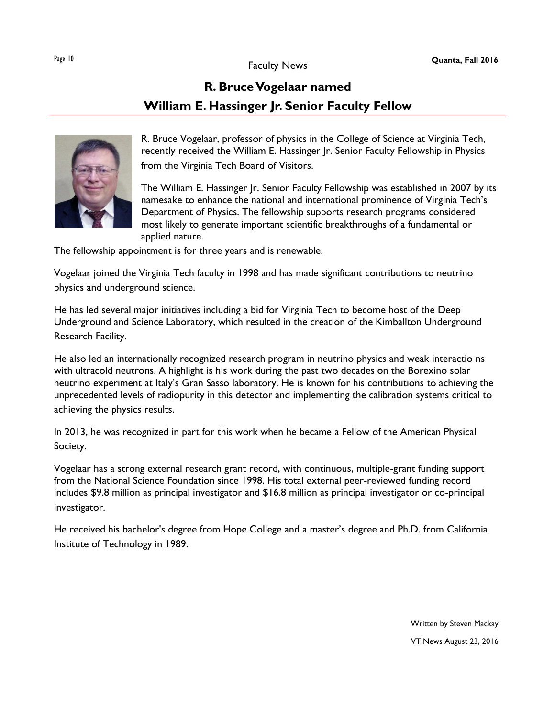# **R. Bruce Vogelaar named William E. Hassinger Jr. Senior Faculty Fellow**



R. Bruce Vogelaar, professor of physics in the College of Science at Virginia Tech, recently received the William E. Hassinger Jr. Senior Faculty Fellowship in Physics from the Virginia Tech Board of Visitors.

The William E. Hassinger Jr. Senior Faculty Fellowship was established in 2007 by its namesake to enhance the national and international prominence of Virginia Tech's Department of Physics. The fellowship supports research programs considered most likely to generate important scientific breakthroughs of a fundamental or applied nature.

The fellowship appointment is for three years and is renewable.

Vogelaar joined the Virginia Tech faculty in 1998 and has made significant contributions to neutrino physics and underground science.

He has led several major initiatives including a bid for Virginia Tech to become host of the Deep Underground and Science Laboratory, which resulted in the creation of the Kimballton Underground Research Facility.

He also led an internationally recognized research program in neutrino physics and weak interactio ns with ultracold neutrons. A highlight is his work during the past two decades on the Borexino solar neutrino experiment at Italy's Gran Sasso laboratory. He is known for his contributions to achieving the unprecedented levels of radiopurity in this detector and implementing the calibration systems critical to achieving the physics results.

In 2013, he was recognized in part for this work when he became a Fellow of the American Physical Society.

Vogelaar has a strong external research grant record, with continuous, multiple-grant funding support from the National Science Foundation since 1998. His total external peer-reviewed funding record includes \$9.8 million as principal investigator and \$16.8 million as principal investigator or co-principal investigator.

He received his bachelor's degree from Hope College and a master's degree and Ph.D. from California Institute of Technology in 1989.

> Written by Steven Mackay VT News August 23, 2016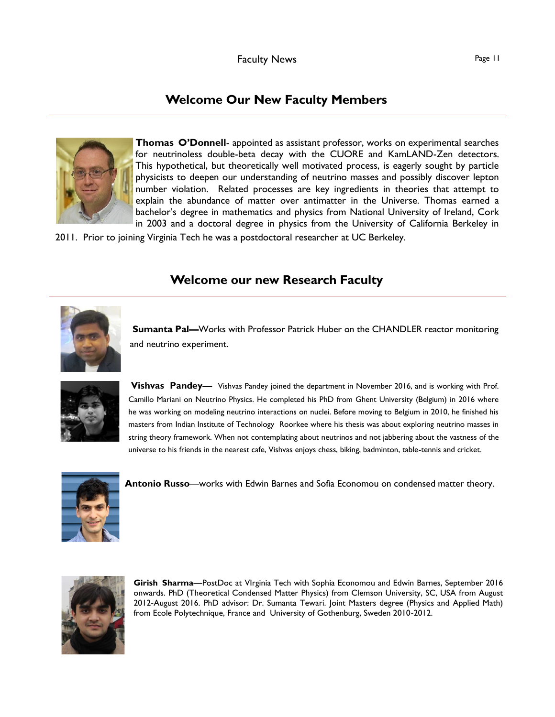### **Welcome Our New Faculty Members**



**Thomas O'Donnell**- appointed as assistant professor, works on experimental searches for neutrinoless double-beta decay with the CUORE and KamLAND-Zen detectors. This hypothetical, but theoretically well motivated process, is eagerly sought by particle physicists to deepen our understanding of neutrino masses and possibly discover lepton number violation. Related processes are key ingredients in theories that attempt to explain the abundance of matter over antimatter in the Universe. Thomas earned a bachelor's degree in mathematics and physics from National University of Ireland, Cork in 2003 and a doctoral degree in physics from the University of California Berkeley in

2011. Prior to joining Virginia Tech he was a postdoctoral researcher at UC Berkeley.

### **Welcome our new Research Faculty**



**Sumanta Pal—**Works with Professor Patrick Huber on the CHANDLER reactor monitoring and neutrino experiment.



**Vishvas Pandey—** Vishvas Pandey joined the department in November 2016, and is working with Prof. Camillo Mariani on Neutrino Physics. He completed his PhD from Ghent University (Belgium) in 2016 where he was working on modeling neutrino interactions on nuclei. Before moving to Belgium in 2010, he finished his masters from Indian Institute of Technology Roorkee where his thesis was about exploring neutrino masses in string theory framework. When not contemplating about neutrinos and not jabbering about the vastness of the universe to his friends in the nearest cafe, Vishvas enjoys chess, biking, badminton, table-tennis and cricket.



**Antonio Russo**—works with Edwin Barnes and Sofia Economou on condensed matter theory.



**Girish Sharma**—PostDoc at VIrginia Tech with Sophia Economou and Edwin Barnes, September 2016 onwards. PhD (Theoretical Condensed Matter Physics) from Clemson University, SC, USA from August 2012-August 2016. PhD advisor: Dr. Sumanta Tewari. Joint Masters degree (Physics and Applied Math) from Ecole Polytechnique, France and University of Gothenburg, Sweden 2010-2012.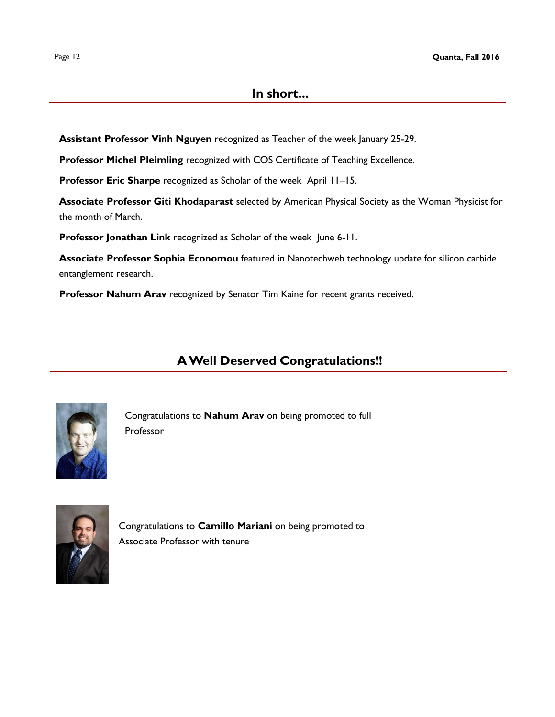#### **In short...**

**Assistant Professor Vinh Nguyen** recognized as Teacher of the week January 25-29.

**Professor Michel Pleimling** recognized with COS Certificate of Teaching Excellence.

**Professor Eric Sharpe** recognized as Scholar of the week April 11–15.

**Associate Professor Giti Khodaparast** selected by American Physical Society as the Woman Physicist for the month of March.

**Professor Jonathan Link** recognized as Scholar of the week June 6-11.

**Associate Professor Sophia Economou** featured in Nanotechweb technology update for silicon carbide entanglement research.

**Professor Nahum Arav** recognized by Senator Tim Kaine for recent grants received.

### **A Well Deserved Congratulations!!**



Congratulations to **Nahum Arav** on being promoted to full Professor



Congratulations to **Camillo Mariani** on being promoted to Associate Professor with tenure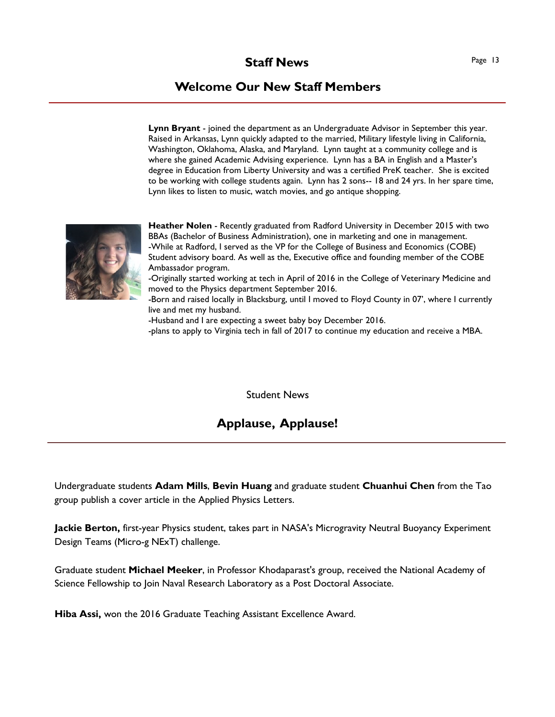### **Welcome Our New Staff Members**

**Lynn Bryant** - joined the department as an Undergraduate Advisor in September this year. Raised in Arkansas, Lynn quickly adapted to the married, Military lifestyle living in California, Washington, Oklahoma, Alaska, and Maryland. Lynn taught at a community college and is where she gained Academic Advising experience. Lynn has a BA in English and a Master's degree in Education from Liberty University and was a certified PreK teacher. She is excited to be working with college students again. Lynn has 2 sons-- 18 and 24 yrs. In her spare time, Lynn likes to listen to music, watch movies, and go antique shopping.



**Heather Nolen** - Recently graduated from Radford University in December 2015 with two BBAs (Bachelor of Business Administration), one in marketing and one in management. -While at Radford, I served as the VP for the College of Business and Economics (COBE) Student advisory board. As well as the, Executive office and founding member of the COBE Ambassador program.

-Originally started working at tech in April of 2016 in the College of Veterinary Medicine and moved to the Physics department September 2016.

-Born and raised locally in Blacksburg, until I moved to Floyd County in 07', where I currently live and met my husband.

-Husband and I are expecting a sweet baby boy December 2016.

-plans to apply to Virginia tech in fall of 2017 to continue my education and receive a MBA.

Student News

### **Applause, Applause!**

Undergraduate students **Adam Mills**, **Bevin Huang** and graduate student **Chuanhui Chen** from the Tao group publish a cover article in the Applied Physics Letters.

**Jackie Berton,** first-year Physics student, takes part in NASA's Microgravity Neutral Buoyancy Experiment Design Teams (Micro-g NExT) challenge.

Graduate student **Michael Meeker**, in Professor Khodaparast's group, received the National Academy of Science Fellowship to Join Naval Research Laboratory as a Post Doctoral Associate.

**Hiba Assi,** won the 2016 Graduate Teaching Assistant Excellence Award.